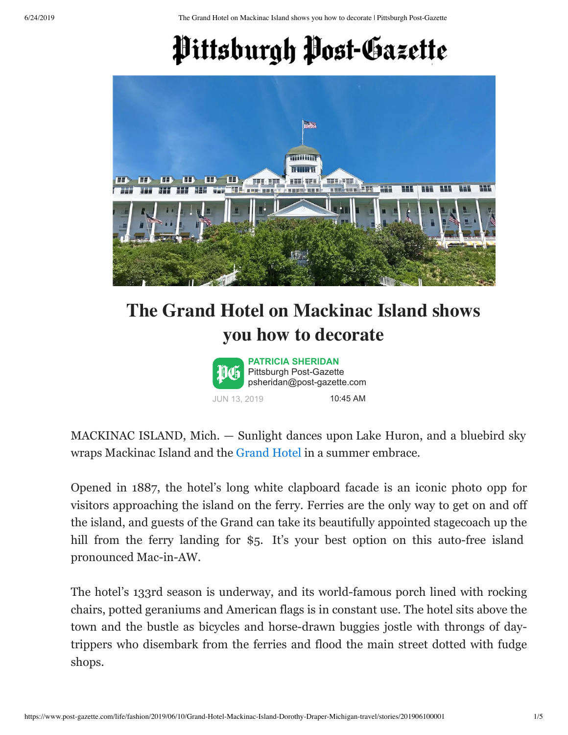6/24/2019 The Grand Hotel on Mackinac Island shows you how to decorate | Pittsburgh Post-Gazette

## Pittsburgh Post-Gazette



## **The Grand Hotel on Mackinac Island shows [you how t](mailto:psheridan@post-gazette.com)o decorate**



MACKINAC ISLAND, Mich. — Sunlight dances upon Lake Huron, and a bluebird sky wraps Mackinac Island and the [Grand Hotel](https://www.mackinacisland.org/lodging/grand-hotel/) in a summer embrace.

Opened in 1887, the hotel's long white clapboard facade is an iconic photo opp for visitors approaching the island on the ferry. Ferries are the only way to get on and off the island, and guests of the Grand can take its beautifully appointed stagecoach up the hill from the ferry landing for \$5. It's your best option on this auto-free island pronounced Mac-in-AW.

The hotel's 133rd season is underway, and its world-famous porch lined with rocking chairs, potted geraniums and American flags is in constant use. The hotel sits above the town and the bustle as bicycles and horse-drawn buggies jostle with throngs of daytrippers who disembark from the ferries and flood the main street dotted with fudge shops.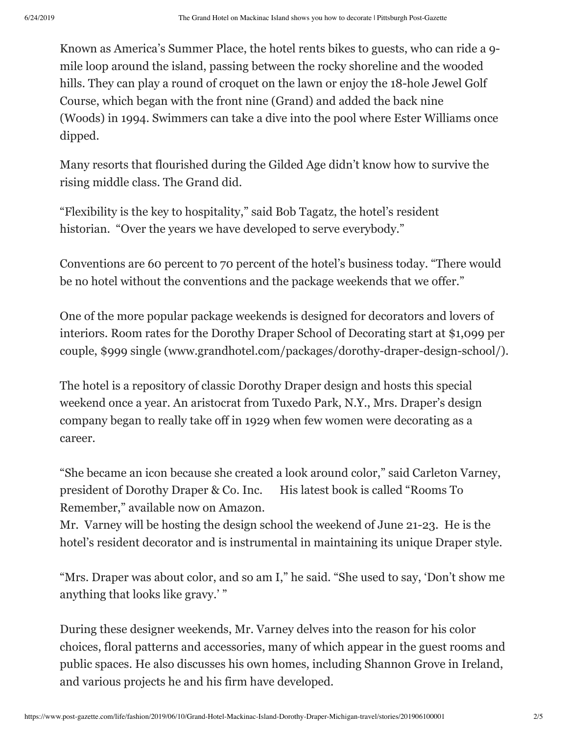Known as America's Summer Place, the hotel rents bikes to guests, who can ride a 9 mile loop around the island, passing between the rocky shoreline and the wooded hills. They can play a round of croquet on the lawn or enjoy the 18-hole Jewel Golf Course, which began with the front nine (Grand) and added the back nine (Woods) in 1994. Swimmers can take a dive into the pool where Ester Williams once dipped.

Many resorts that flourished during the Gilded Age didn't know how to survive the rising middle class. The Grand did.

"Flexibility is the key to hospitality," said Bob Tagatz, the hotel's resident historian. "Over the years we have developed to serve everybody."

Conventions are 60 percent to 70 percent of the hotel's business today. "There would be no hotel without the conventions and the package weekends that we offer."

One of the more popular package weekends is designed for decorators and lovers of interiors. Room rates for the Dorothy Draper School of Decorating start at \$1,099 per couple, \$999 single (www.grandhotel.com/packages/dorothy-draper-design-school/).

The hotel is a repository of classic Dorothy Draper design and hosts this special weekend once a year. An aristocrat from Tuxedo Park, N.Y., Mrs. Draper's design company began to really take off in 1929 when few women were decorating as a career.

"She became an icon because she created a look around color," said Carleton Varney, president of Dorothy Draper & Co. Inc. His latest book is called "Rooms To Remember," available now on Amazon.

Mr. Varney will be hosting the design school the weekend of June 21-23. He is the hotel's resident decorator and is instrumental in maintaining its unique Draper style.

"Mrs. Draper was about color, and so am I," he said. "She used to say, 'Don't show me anything that looks like gravy.' "

During these designer weekends, Mr. Varney delves into the reason for his color choices, floral patterns and accessories, many of which appear in the guest rooms and public spaces. He also discusses his own homes, including Shannon Grove in Ireland, and various projects he and his firm have developed.